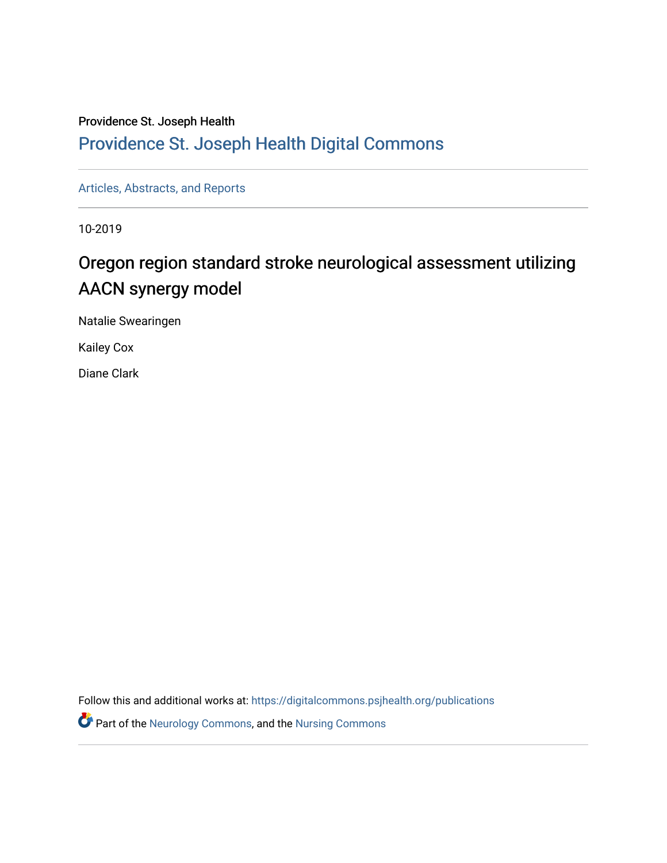### Providence St. Joseph Health

### [Providence St. Joseph Health Digital Commons](https://digitalcommons.psjhealth.org/)

[Articles, Abstracts, and Reports](https://digitalcommons.psjhealth.org/publications) 

10-2019

### Oregon region standard stroke neurological assessment utilizing AACN synergy model

Natalie Swearingen

Kailey Cox

Diane Clark

Follow this and additional works at: [https://digitalcommons.psjhealth.org/publications](https://digitalcommons.psjhealth.org/publications?utm_source=digitalcommons.psjhealth.org%2Fpublications%2F2418&utm_medium=PDF&utm_campaign=PDFCoverPages)

**Part of the [Neurology Commons](http://network.bepress.com/hgg/discipline/692?utm_source=digitalcommons.psjhealth.org%2Fpublications%2F2418&utm_medium=PDF&utm_campaign=PDFCoverPages), and the Nursing Commons**